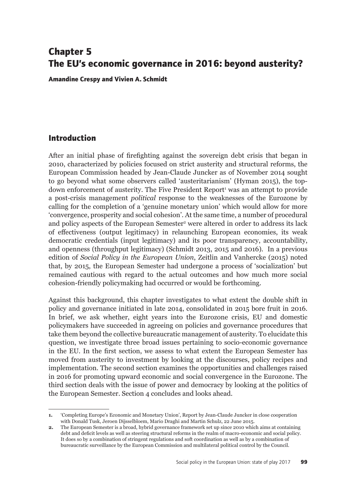# **Chapter 5 The EU's economic governance in 2016: beyond austerity?**

**Amandine Crespy and Vivien A. Schmidt**

### **Introduction**

After an initial phase of firefighting against the sovereign debt crisis that began in 2010, characterized by policies focused on strict austerity and structural reforms, the European Commission headed by Jean-Claude Juncker as of November 2014 sought to go beyond what some observers called 'austeritarianism' (Hyman 2015), the topdown enforcement of austerity. The Five President Report<sup>1</sup> was an attempt to provide a post-crisis management *political* response to the weaknesses of the Eurozone by calling for the completion of a 'genuine monetary union' which would allow for more 'convergence, prosperity and social cohesion'. At the same time, a number of procedural and policy aspects of the European Semester<sup>2</sup> were altered in order to address its lack of effectiveness (output legitimacy) in relaunching European economies, its weak democratic credentials (input legitimacy) and its poor transparency, accountability, and openness (throughput legitimacy) (Schmidt 2013, 2015 and 2016). In a previous edition of *Social Policy in the European Union*, Zeitlin and Vanhercke (2015) noted that, by 2015, the European Semester had undergone a process of 'socialization' but remained cautious with regard to the actual outcomes and how much more social cohesion-friendly policymaking had occurred or would be forthcoming.

Against this background, this chapter investigates to what extent the double shift in policy and governance initiated in late 2014, consolidated in 2015 bore fruit in 2016. In brief, we ask whether, eight years into the Eurozone crisis, EU and domestic policymakers have succeeded in agreeing on policies and governance procedures that take them beyond the collective bureaucratic management of austerity. To elucidate this question, we investigate three broad issues pertaining to socio-economic governance in the EU. In the first section, we assess to what extent the European Semester has moved from austerity to investment by looking at the discourses, policy recipes and implementation. The second section examines the opportunities and challenges raised in 2016 for promoting upward economic and social convergence in the Eurozone. The third section deals with the issue of power and democracy by looking at the politics of the European Semester. Section 4 concludes and looks ahead.

**<sup>1.</sup>** 'Completing Europe's Economic and Monetary Union', Report by Jean-Claude Juncker in close cooperation with Donald Tusk, Jeroen Dijsselbloem, Mario Draghi and Martin Schulz, 22 June 2015.

**<sup>2.</sup>** The European Semester is a broad, hybrid governance framework set up since 2010 which aims at containing debt and deficit levels as well as steering structural reforms in the realm of macro-economic and social policy. It does so by a combination of stringent regulations and soft coordination as well as by a combination of bureaucratic surveillance by the European Commission and multilateral political control by the Council.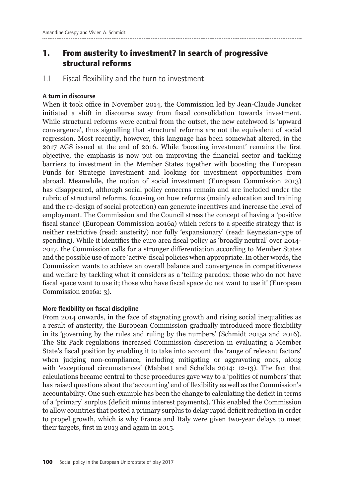## **1. From austerity to investment? In search of progressive structural reforms**

1.1 Fiscal flexibility and the turn to investment

### A turn in discourse

When it took office in November 2014, the Commission led by Jean-Claude Juncker initiated a shift in discourse away from fiscal consolidation towards investment. While structural reforms were central from the outset, the new catchword is 'upward convergence', thus signalling that structural reforms are not the equivalent of social regression. Most recently, however, this language has been somewhat altered, in the 2017 AGS issued at the end of 2016. While 'boosting investment' remains the first objective, the emphasis is now put on improving the financial sector and tackling barriers to investment in the Member States together with boosting the European Funds for Strategic Investment and looking for investment opportunities from abroad. Meanwhile, the notion of social investment (European Commission 2013) has disappeared, although social policy concerns remain and are included under the rubric of structural reforms, focusing on how reforms (mainly education and training and the re-design of social protection) can generate incentives and increase the level of employment. The Commission and the Council stress the concept of having a 'positive fiscal stance' (European Commission 2016a) which refers to a specific strategy that is neither restrictive (read: austerity) nor fully 'expansionary' (read: Keynesian-type of spending). While it identifies the euro area fiscal policy as 'broadly neutral' over 2014- 2017, the Commission calls for a stronger differentiation according to Member States and the possible use of more 'active' fiscal policies when appropriate. In other words, the Commission wants to achieve an overall balance and convergence in competitiveness and welfare by tackling what it considers as a 'telling paradox: those who do not have fiscal space want to use it; those who have fiscal space do not want to use it' (European Commission 2016a: 3).

### More flexibility on fiscal discipline

From 2014 onwards, in the face of stagnating growth and rising social inequalities as a result of austerity, the European Commission gradually introduced more flexibility in its 'governing by the rules and ruling by the numbers' (Schmidt 2015a and 2016). The Six Pack regulations increased Commission discretion in evaluating a Member State's fiscal position by enabling it to take into account the 'range of relevant factors' when judging non-compliance, including mitigating or aggravating ones, along with 'exceptional circumstances' (Mabbett and Schelkle 2014: 12-13). The fact that calculations became central to these procedures gave way to a 'politics of numbers' that has raised questions about the 'accounting' end of flexibility as well as the Commission's accountability. One such example has been the change to calculating the deficit in terms of a 'primary' surplus (deficit minus interest payments). This enabled the Commission to allow countries that posted a primary surplus to delay rapid deficit reduction in order to propel growth, which is why France and Italy were given two-year delays to meet their targets, first in 2013 and again in 2015.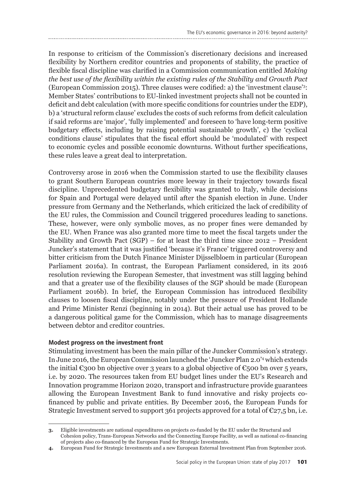In response to criticism of the Commission's discretionary decisions and increased flexibility by Northern creditor countries and proponents of stability, the practice of flexible fiscal discipline was clarified in a Commission communication entitled *Making the best use of the flexibility within the existing rules of the Stability and Growth Pact*  (European Commission 2015). Three clauses were codified: a) the 'investment clause'3 : Member States' contributions to EU-linked investment projects shall not be counted in deficit and debt calculation (with more specific conditions for countries under the EDP), b) a 'structural reform clause' excludes the costs of such reforms from deficit calculation if said reforms are 'major', 'fully implemented' and foreseen to 'have long-term positive budgetary effects, including by raising potential sustainable growth', c) the 'cyclical conditions clause' stipulates that the fiscal effort should be 'modulated' with respect to economic cycles and possible economic downturns. Without further specifications, these rules leave a great deal to interpretation.

Controversy arose in 2016 when the Commission started to use the flexibility clauses to grant Southern European countries more leeway in their trajectory towards fiscal discipline. Unprecedented budgetary flexibility was granted to Italy, while decisions for Spain and Portugal were delayed until after the Spanish election in June. Under pressure from Germany and the Netherlands, which criticized the lack of credibility of the EU rules, the Commission and Council triggered procedures leading to sanctions. These, however, were only symbolic moves, as no proper fines were demanded by the EU. When France was also granted more time to meet the fiscal targets under the Stability and Growth Pact (SGP) – for at least the third time since 2012 – President Juncker's statement that it was justified 'because it's France' triggered controversy and bitter criticism from the Dutch Finance Minister Dijsselbloem in particular (European Parliament 2016a). In contrast, the European Parliament considered, in its 2016 resolution reviewing the European Semester, that investment was still lagging behind and that a greater use of the flexibility clauses of the SGP should be made (European Parliament 2016b). In brief, the European Commission has introduced flexibility clauses to loosen fiscal discipline, notably under the pressure of President Hollande and Prime Minister Renzi (beginning in 2014). But their actual use has proved to be a dangerous political game for the Commission, which has to manage disagreements between debtor and creditor countries.

### Modest progress on the investment front

Stimulating investment has been the main pillar of the Juncker Commission's strategy. In June 2016, the European Commission launched the 'Juncker Plan 2.0'4 which extends the initial  $\epsilon$ 300 bn objective over 3 years to a global objective of  $\epsilon$ 500 bn over 5 years, i.e. by 2020. The resources taken from EU budget lines under the EU's Research and Innovation programme Horizon 2020, transport and infrastructure provide guarantees allowing the European Investment Bank to fund innovative and risky projects cofinanced by public and private entities. By December 2016, the European Funds for Strategic Investment served to support 361 projects approved for a total of  $\epsilon_{27,5}$  bn, i.e.

**<sup>3.</sup>** Eligible investments are national expenditures on projects co-funded by the EU under the Structural and Cohesion policy, Trans-European Networks and the Connecting Europe Facility, as well as national co-financing of projects also co-financed by the European Fund for Strategic Investments.

**<sup>4.</sup>** European Fund for Strategic Investments and a new European External Investment Plan from September 2016.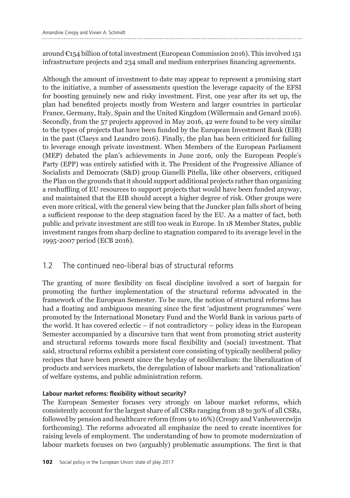around €154 billion of total investment (European Commission 2016). This involved 151 infrastructure projects and 234 small and medium enterprises financing agreements.

Although the amount of investment to date may appear to represent a promising start to the initiative, a number of assessments question the leverage capacity of the EFSI for boosting genuinely new and risky investment. First, one year after its set up, the plan had benefited projects mostly from Western and larger countries in particular France, Germany, Italy, Spain and the United Kingdom (Willermain and Genard 2016). Secondly, from the 57 projects approved in May 2016, 42 were found to be very similar to the types of projects that have been funded by the European Investment Bank (EIB) in the past (Claeys and Leandro 2016). Finally, the plan has been criticized for failing to leverage enough private investment. When Members of the European Parliament (MEP) debated the plan's achievements in June 2016, only the European People's Party (EPP) was entirely satisfied with it. The President of the Progressive Alliance of Socialists and Democrats (S&D) group Gianelli Pitella, like other observers, critiqued the Plan on the grounds that it should support additional projects rather than organizing a reshuffling of EU resources to support projects that would have been funded anyway, and maintained that the EIB should accept a higher degree of risk. Other groups were even more critical, with the general view being that the Juncker plan falls short of being a sufficient response to the deep stagnation faced by the EU. As a matter of fact, both public and private investment are still too weak in Europe. In 18 Member States, public investment ranges from sharp decline to stagnation compared to its average level in the 1995-2007 period (ECB 2016).

## 1.2 The continued neo-liberal bias of structural reforms

The granting of more flexibility on fiscal discipline involved a sort of bargain for promoting the further implementation of the structural reforms advocated in the framework of the European Semester. To be sure, the notion of structural reforms has had a floating and ambiguous meaning since the first 'adjustment programmes' were promoted by the International Monetary Fund and the World Bank in various parts of the world. It has covered eclectic – if not contradictory – policy ideas in the European Semester accompanied by a discursive turn that went from promoting strict austerity and structural reforms towards more fiscal flexibility and (social) investment. That said, structural reforms exhibit a persistent core consisting of typically neoliberal policy recipes that have been present since the heyday of neoliberalism: the liberalization of products and services markets, the deregulation of labour markets and 'rationalization' of welfare systems, and public administration reform.

### Labour market reforms: flexibility without security?

The European Semester focuses very strongly on labour market reforms, which consistently account for the largest share of all CSRs ranging from 18 to 30% of all CSRs, followed by pension and healthcare reform (from 9 to 16%) (Crespy and Vanheuverzwijn forthcoming). The reforms advocated all emphasize the need to create incentives for raising levels of employment. The understanding of how to promote modernization of labour markets focuses on two (arguably) problematic assumptions. The first is that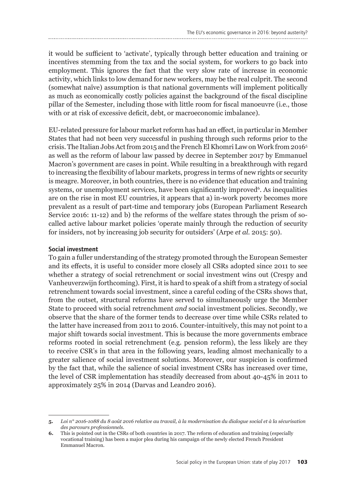it would be sufficient to 'activate', typically through better education and training or incentives stemming from the tax and the social system, for workers to go back into employment. This ignores the fact that the very slow rate of increase in economic activity, which links to low demand for new workers, may be the real culprit. The second (somewhat naïve) assumption is that national governments will implement politically as much as economically costly policies against the background of the fiscal discipline pillar of the Semester, including those with little room for fiscal manoeuvre (i.e., those with or at risk of excessive deficit, debt, or macroeconomic imbalance).

EU-related pressure for labour market reform has had an effect, in particular in Member States that had not been very successful in pushing through such reforms prior to the crisis. The Italian Jobs Act from 2015 and the French El Khomri Law on Work from 20165 as well as the reform of labour law passed by decree in September 2017 by Emmanuel Macron's government are cases in point. While resulting in a breakthrough with regard to increasing the flexibility of labour markets, progress in terms of new rights or security is meagre. Moreover, in both countries, there is no evidence that education and training systems, or unemployment services, have been significantly improved<sup>6</sup>. As inequalities are on the rise in most EU countries, it appears that a) in-work poverty becomes more prevalent as a result of part-time and temporary jobs (European Parliament Research Service 2016: 11-12) and b) the reforms of the welfare states through the prism of socalled active labour market policies 'operate mainly through the reduction of security for insiders, not by increasing job security for outsiders' (Arpe *et al.* 2015: 50).

#### Social investment

To gain a fuller understanding of the strategy promoted through the European Semester and its effects, it is useful to consider more closely all CSRs adopted since 2011 to see whether a strategy of social retrenchment or social investment wins out (Crespy and Vanheuverzwijn forthcoming). First, it is hard to speak of a shift from a strategy of social retrenchment towards social investment, since a careful coding of the CSRs shows that, from the outset, structural reforms have served to simultaneously urge the Member State to proceed with social retrenchment *and* social investment policies. Secondly, we observe that the share of the former tends to decrease over time while CSRs related to the latter have increased from 2011 to 2016. Counter-intuitively, this may not point to a major shift towards social investment. This is because the more governments embrace reforms rooted in social retrenchment (e.g. pension reform), the less likely are they to receive CSR's in that area in the following years, leading almost mechanically to a greater salience of social investment solutions. Moreover, our suspicion is confirmed by the fact that, while the salience of social investment CSRs has increased over time, the level of CSR implementation has steadily decreased from about 40-45% in 2011 to approximately 25% in 2014 (Darvas and Leandro 2016).

**<sup>5.</sup>** *Loi n° 2016-1088 du 8 août 2016 relative au travail, à la modernisation du dialogue social et à la sécurisation des parcours professionnels.* 

**<sup>6.</sup>** This is pointed out in the CSRs of both countries in 2017. The reform of education and training (especially vocational training) has been a major plea during his campaign of the newly elected French President Emmanuel Macron.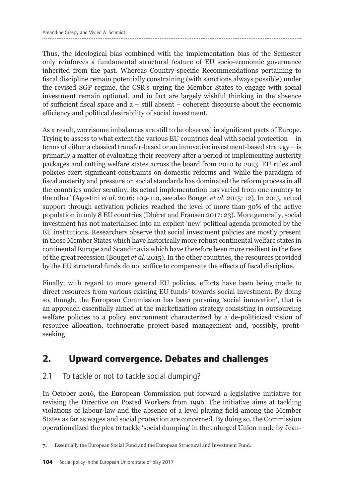Thus, the ideological bias combined with the implementation bias of the Semester only reinforces a fundamental structural feature of EU socio-economic governance inherited from the past. Whereas Country-specific Recommendations pertaining to fiscal discipline remain potentially constraining (with sanctions always possible) under the revised SGP regime, the CSR's urging the Member States to engage with social investment remain optional, and in fact are largely wishful thinking in the absence of sufficient fiscal space and a – still absent – coherent discourse about the economic efficiency and political desirability of social investment.

As a result, worrisome imbalances are still to be observed in significant parts of Europe. Trying to assess to what extent the various EU countries deal with social protection – in terms of either a classical transfer-based or an innovative investment-based strategy – is primarily a matter of evaluating their recovery after a period of implementing austerity packages and cutting welfare states across the board from 2010 to 2013. EU rules and policies exert significant constraints on domestic reforms and 'while the paradigm of fiscal austerity and pressure on social standards has dominated the reform process in all the countries under scrutiny, its actual implementation has varied from one country to the other' (Agostini *et al.* 2016: 109-110, see also Bouget *et al.* 2015: 12). In 2013, actual support through activation policies reached the level of more than 30% of the active population in only 8 EU countries (Dhéret and Fransen 2017: 23). More generally, social investment has not materialised into an explicit 'new' political agenda promoted by the EU institutions. Researchers observe that social investment policies are mostly present in those Member States which have historically more robust continental welfare states in continental Europe and Scandinavia which have therefore been more resilient in the face of the great recession (Bouget *et al.* 2015). In the other countries, the resources provided by the EU structural funds do not suffice to compensate the effects of fiscal discipline.

Finally, with regard to more general EU policies, efforts have been being made to direct resources from various existing EU funds7 towards social investment. By doing so, though, the European Commission has been pursuing 'social innovation', that is an approach essentially aimed at the marketization strategy consisting in outsourcing welfare policies to a policy environment characterized by a de-politicized vision of resource allocation, technocratic project-based management and, possibly, profitseeking.

# **2. Upward convergence. Debates and challenges**

## 2.1 To tackle or not to tackle social dumping?

In October 2016, the European Commission put forward a legislative initiative for revising the Directive on Posted Workers from 1996. The initiative aims at tackling violations of labour law and the absence of a level playing field among the Member States as far as wages and social protection are concerned. By doing so, the Commission operationalized the plea to tackle 'social dumping' in the enlarged Union made by Jean-

**<sup>7.</sup>** Essentially the European Social Fund and the European Structural and Investment Fund.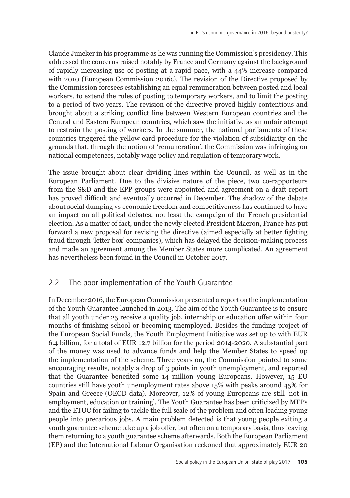Claude Juncker in his programme as he was running the Commission's presidency. This addressed the concerns raised notably by France and Germany against the background of rapidly increasing use of posting at a rapid pace, with a 44% increase compared with 2010 (European Commission 2016c). The revision of the Directive proposed by the Commission foresees establishing an equal remuneration between posted and local workers, to extend the rules of posting to temporary workers, and to limit the posting to a period of two years. The revision of the directive proved highly contentious and brought about a striking conflict line between Western European countries and the Central and Eastern European countries, which saw the initiative as an unfair attempt to restrain the posting of workers. In the summer, the national parliaments of these countries triggered the yellow card procedure for the violation of subsidiarity on the grounds that, through the notion of 'remuneration', the Commission was infringing on national competences, notably wage policy and regulation of temporary work.

The issue brought about clear dividing lines within the Council, as well as in the European Parliament. Due to the divisive nature of the piece, two co-rapporteurs from the S&D and the EPP groups were appointed and agreement on a draft report has proved difficult and eventually occurred in December. The shadow of the debate about social dumping vs economic freedom and competitiveness has continued to have an impact on all political debates, not least the campaign of the French presidential election. As a matter of fact, under the newly elected President Macron, France has put forward a new proposal for revising the directive (aimed especially at better fighting fraud through 'letter box' companies), which has delayed the decision-making process and made an agreement among the Member States more complicated. An agreement has nevertheless been found in the Council in October 2017.

## 2.2 The poor implementation of the Youth Guarantee

In December 2016, the European Commission presented a report on the implementation of the Youth Guarantee launched in 2013. The aim of the Youth Guarantee is to ensure that all youth under 25 receive a quality job, internship or education offer within four months of finishing school or becoming unemployed. Besides the funding project of the European Social Funds, the Youth Employment Initiative was set up to with EUR 6.4 billion, for a total of EUR 12.7 billion for the period 2014-2020. A substantial part of the money was used to advance funds and help the Member States to speed up the implementation of the scheme. Three years on, the Commission pointed to some encouraging results, notably a drop of 3 points in youth unemployment, and reported that the Guarantee benefited some 14 million young Europeans. However, 15 EU countries still have youth unemployment rates above 15% with peaks around 45% for Spain and Greece (OECD data). Moreover, 12% of young Europeans are still 'not in employment, education or training'. The Youth Guarantee has been criticized by MEPs and the ETUC for failing to tackle the full scale of the problem and often leading young people into precarious jobs. A main problem detected is that young people exiting a youth guarantee scheme take up a job offer, but often on a temporary basis, thus leaving them returning to a youth guarantee scheme afterwards. Both the European Parliament (EP) and the International Labour Organisation reckoned that approximately EUR 20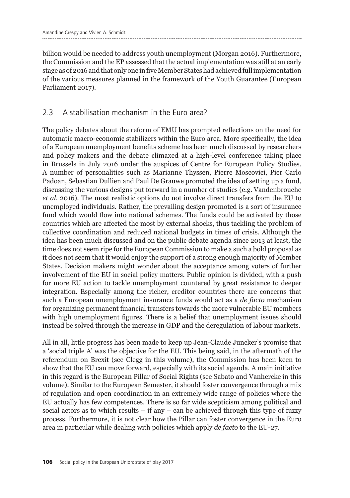billion would be needed to address youth unemployment (Morgan 2016). Furthermore, the Commission and the EP assessed that the actual implementation was still at an early stage as of 2016 and that only one in five Member States had achieved full implementation of the various measures planned in the framework of the Youth Guarantee (European Parliament 2017).

## 2.3 A stabilisation mechanism in the Euro area?

The policy debates about the reform of EMU has prompted reflections on the need for automatic macro-economic stabilizers within the Euro area. More specifically, the idea of a European unemployment benefits scheme has been much discussed by researchers and policy makers and the debate climaxed at a high-level conference taking place in Brussels in July 2016 under the auspices of Centre for European Policy Studies. A number of personalities such as Marianne Thyssen, Pierre Moscovici, Pier Carlo Padoan, Sebastian Dullien and Paul De Grauwe promoted the idea of setting up a fund, discussing the various designs put forward in a number of studies (e.g. Vandenbrouche *et al.* 2016). The most realistic options do not involve direct transfers from the EU to unemployed individuals. Rather, the prevailing design promoted is a sort of insurance fund which would flow into national schemes. The funds could be activated by those countries which are affected the most by external shocks, thus tackling the problem of collective coordination and reduced national budgets in times of crisis. Although the idea has been much discussed and on the public debate agenda since 2013 at least, the time does not seem ripe for the European Commission to make a such a bold proposal as it does not seem that it would enjoy the support of a strong enough majority of Member States. Decision makers might wonder about the acceptance among voters of further involvement of the EU in social policy matters. Public opinion is divided, with a push for more EU action to tackle unemployment countered by great resistance to deeper integration. Especially among the richer, creditor countries there are concerns that such a European unemployment insurance funds would act as a *de facto* mechanism for organizing permanent financial transfers towards the more vulnerable EU members with high unemployment figures. There is a belief that unemployment issues should instead be solved through the increase in GDP and the deregulation of labour markets.

All in all, little progress has been made to keep up Jean-Claude Juncker's promise that a 'social triple A' was the objective for the EU. This being said, in the aftermath of the referendum on Brexit (see Clegg in this volume), the Commission has been keen to show that the EU can move forward, especially with its social agenda. A main initiative in this regard is the European Pillar of Social Rights (see Sabato and Vanhercke in this volume). Similar to the European Semester, it should foster convergence through a mix of regulation and open coordination in an extremely wide range of policies where the EU actually has few competences. There is so far wide scepticism among political and social actors as to which results  $-$  if any  $-$  can be achieved through this type of fuzzy process. Furthermore, it is not clear how the Pillar can foster convergence in the Euro area in particular while dealing with policies which apply *de facto* to the EU-27.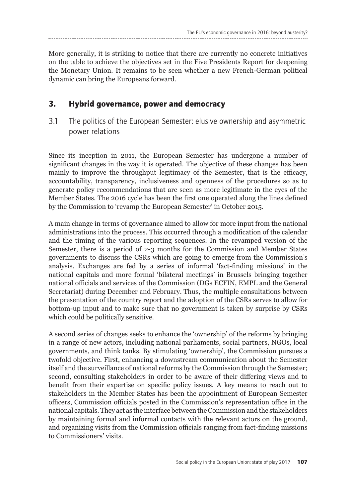More generally, it is striking to notice that there are currently no concrete initiatives on the table to achieve the objectives set in the Five Presidents Report for deepening the Monetary Union. It remains to be seen whether a new French-German political dynamic can bring the Europeans forward.

## **3. Hybrid governance, power and democracy**

3.1 The politics of the European Semester: elusive ownership and asymmetric power relations

Since its inception in 2011, the European Semester has undergone a number of significant changes in the way it is operated. The objective of these changes has been mainly to improve the throughput legitimacy of the Semester, that is the efficacy, accountability, transparency, inclusiveness and openness of the procedures so as to generate policy recommendations that are seen as more legitimate in the eyes of the Member States. The 2016 cycle has been the first one operated along the lines defined by the Commission to 'revamp the European Semester' in October 2015.

A main change in terms of governance aimed to allow for more input from the national administrations into the process. This occurred through a modification of the calendar and the timing of the various reporting sequences. In the revamped version of the Semester, there is a period of 2-3 months for the Commission and Member States governments to discuss the CSRs which are going to emerge from the Commission's analysis. Exchanges are fed by a series of informal 'fact-finding missions' in the national capitals and more formal 'bilateral meetings' in Brussels bringing together national officials and services of the Commission (DGs ECFIN, EMPL and the General Secretariat) during December and February. Thus, the multiple consultations between the presentation of the country report and the adoption of the CSRs serves to allow for bottom-up input and to make sure that no government is taken by surprise by CSRs which could be politically sensitive.

A second series of changes seeks to enhance the 'ownership' of the reforms by bringing in a range of new actors, including national parliaments, social partners, NGOs, local governments, and think tanks. By stimulating 'ownership', the Commission pursues a twofold objective. First, enhancing a downstream communication about the Semester itself and the surveillance of national reforms by the Commission through the Semester; second, consulting stakeholders in order to be aware of their differing views and to benefit from their expertise on specific policy issues. A key means to reach out to stakeholders in the Member States has been the appointment of European Semester officers, Commission officials posted in the Commission's representation office in the national capitals. They act as the interface between the Commission and the stakeholders by maintaining formal and informal contacts with the relevant actors on the ground, and organizing visits from the Commission officials ranging from fact-finding missions to Commissioners' visits.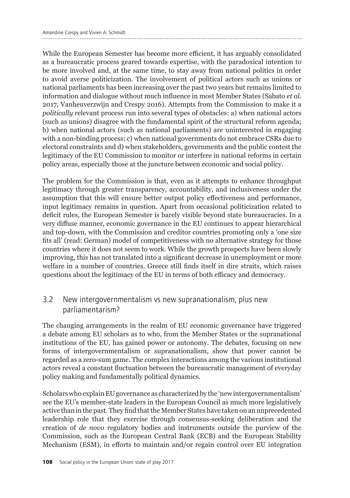While the European Semester has become more efficient, it has arguably consolidated as a bureaucratic process geared towards expertise, with the paradoxical intention to be more involved and, at the same time, to stay away from national politics in order to avoid averse politicization. The involvement of political actors such as unions or national parliaments has been increasing over the past two years but remains limited to information and dialogue without much influence in most Member States (Sabato *et al.* 2017, Vanheuverzwijn and Crespy 2016). Attempts from the Commission to make it a *politically* relevant process run into several types of obstacles: a) when national actors (such as unions) disagree with the fundamental spirit of the structural reform agenda; b) when national actors (such as national parliaments) are uninterested in engaging with a non-binding process; c) when national governments do not embrace CSRs due to electoral constraints and d) when stakeholders, governments and the public contest the legitimacy of the EU Commission to monitor or interfere in national reforms in certain policy areas, especially those at the juncture between economic and social policy.

The problem for the Commission is that, even as it attempts to enhance throughput legitimacy through greater transparency, accountability, and inclusiveness under the assumption that this will ensure better output policy effectiveness and performance, input legitimacy remains in question. Apart from occasional politicization related to deficit rules, the European Semester is barely visible beyond state bureaucracies. In a very diffuse manner, economic governance in the EU continues to appear hierarchical and top-down, with the Commission and creditor countries promoting only a 'one size fits all' (read: German) model of competitiveness with no alternative strategy for those countries where it does not seem to work. While the growth prospects have been slowly improving, this has not translated into a significant decrease in unemployment or more welfare in a number of countries. Greece still finds itself in dire straits, which raises questions about the legitimacy of the EU in terms of both efficacy and democracy.

## 3.2 New intergovernmentalism vs new supranationalism, plus new parliamentarism?

The changing arrangements in the realm of EU economic governance have triggered a debate among EU scholars as to who, from the Member States or the supranational institutions of the EU, has gained power or autonomy. The debates, focusing on new forms of intergovernmentalism or supranationalism, show that power cannot be regarded as a zero-sum game. The complex interactions among the various institutional actors reveal a constant fluctuation between the bureaucratic management of everyday policy making and fundamentally political dynamics.

Scholars who explain EU governance as characterized by the 'new intergovernmentalism' see the EU's member-state leaders in the European Council as much more legislatively active than in the past. They find that the Member States have taken on an unprecedented leadership role that they exercise through consensus-seeking deliberation and the creation of *de novo* regulatory bodies and instruments outside the purview of the Commission, such as the European Central Bank (ECB) and the European Stability Mechanism (ESM), in efforts to maintain and/or regain control over EU integration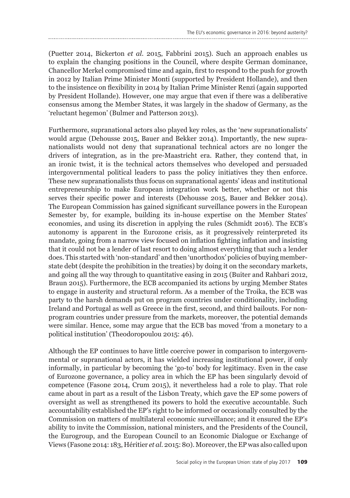(Puetter 2014, Bickerton *et al.* 2015, Fabbrini 2015). Such an approach enables us to explain the changing positions in the Council, where despite German dominance, Chancellor Merkel compromised time and again, first to respond to the push for growth in 2012 by Italian Prime Minister Monti (supported by President Hollande), and then to the insistence on flexibility in 2014 by Italian Prime Minister Renzi (again supported by President Hollande). However, one may argue that even if there was a deliberative consensus among the Member States, it was largely in the shadow of Germany, as the 'reluctant hegemon' (Bulmer and Patterson 2013).

Furthermore, supranational actors also played key roles, as the 'new supranationalists' would argue (Dehousse 2015, Bauer and Bekker 2014). Importantly, the new supranationalists would not deny that supranational technical actors are no longer the drivers of integration, as in the pre-Maastricht era. Rather, they contend that, in an ironic twist, it is the technical actors themselves who developed and persuaded intergovernmental political leaders to pass the policy initiatives they then enforce. These new supranationalists thus focus on supranational agents' ideas and institutional entrepreneurship to make European integration work better, whether or not this serves their specific power and interests (Dehousse 2015, Bauer and Bekker 2014). The European Commission has gained significant surveillance powers in the European Semester by, for example, building its in-house expertise on the Member States' economies, and using its discretion in applying the rules (Schmidt 2016). The ECB's autonomy is apparent in the Eurozone crisis, as it progressively reinterpreted its mandate, going from a narrow view focused on inflation fighting inflation and insisting that it could not be a lender of last resort to doing almost everything that such a lender does. This started with 'non-standard' and then 'unorthodox' policies of buying memberstate debt (despite the prohibition in the treaties) by doing it on the secondary markets, and going all the way through to quantitative easing in 2015 (Buiter and Rahbari 2012, Braun 2015). Furthermore, the ECB accompanied its actions by urging Member States to engage in austerity and structural reform. As a member of the Troika, the ECB was party to the harsh demands put on program countries under conditionality, including Ireland and Portugal as well as Greece in the first, second, and third bailouts. For nonprogram countries under pressure from the markets, moreover, the potential demands were similar. Hence, some may argue that the ECB bas moved 'from a monetary to a political institution' (Theodoropoulou 2015: 46).

Although the EP continues to have little coercive power in comparison to intergovernmental or supranational actors, it has wielded increasing institutional power, if only informally, in particular by becoming the 'go-to' body for legitimacy. Even in the case of Eurozone governance, a policy area in which the EP has been singularly devoid of competence (Fasone 2014, Crum 2015), it nevertheless had a role to play. That role came about in part as a result of the Lisbon Treaty, which gave the EP some powers of oversight as well as strengthened its powers to hold the executive accountable. Such accountability established the EP's right to be informed or occasionally consulted by the Commission on matters of multilateral economic surveillance; and it ensured the EP's ability to invite the Commission, national ministers, and the Presidents of the Council, the Eurogroup, and the European Council to an Economic Dialogue or Exchange of Views (Fasone 2014: 183, Héritier *et al.* 2015: 80). Moreover, the EP was also called upon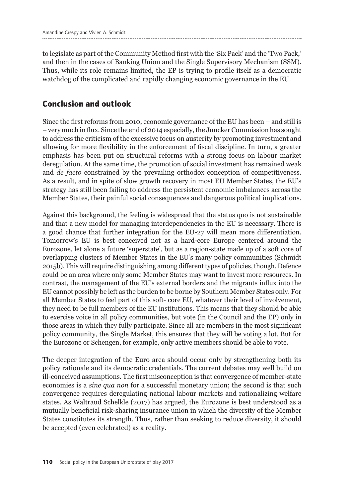to legislate as part of the Community Method first with the 'Six Pack' and the 'Two Pack,' and then in the cases of Banking Union and the Single Supervisory Mechanism (SSM). Thus, while its role remains limited, the EP is trying to profile itself as a democratic watchdog of the complicated and rapidly changing economic governance in the EU.

## **Conclusion and outlook**

Since the first reforms from 2010, economic governance of the EU has been – and still is – very much in flux. Since the end of 2014 especially, the Juncker Commission has sought to address the criticism of the excessive focus on austerity by promoting investment and allowing for more flexibility in the enforcement of fiscal discipline. In turn, a greater emphasis has been put on structural reforms with a strong focus on labour market deregulation. At the same time, the promotion of social investment has remained weak and *de facto* constrained by the prevailing orthodox conception of competitiveness. As a result, and in spite of slow growth recovery in most EU Member States, the EU's strategy has still been failing to address the persistent economic imbalances across the Member States, their painful social consequences and dangerous political implications.

Against this background, the feeling is widespread that the status quo is not sustainable and that a new model for managing interdependencies in the EU is necessary. There is a good chance that further integration for the EU-27 will mean more differentiation. Tomorrow's EU is best conceived not as a hard-core Europe centered around the Eurozone, let alone a future 'superstate', but as a region-state made up of a soft core of overlapping clusters of Member States in the EU's many policy communities (Schmidt 2015b). This will require distinguishing among different types of policies, though. Defence could be an area where only some Member States may want to invest more resources. In contrast, the management of the EU's external borders and the migrants influx into the EU cannot possibly be left as the burden to be borne by Southern Member States only. For all Member States to feel part of this soft- core EU, whatever their level of involvement, they need to be full members of the EU institutions. This means that they should be able to exercise voice in all policy communities, but vote (in the Council and the EP) only in those areas in which they fully participate. Since all are members in the most significant policy community, the Single Market, this ensures that they will be voting a lot. But for the Eurozone or Schengen, for example, only active members should be able to vote.

The deeper integration of the Euro area should occur only by strengthening both its policy rationale and its democratic credentials. The current debates may well build on ill-conceived assumptions. The first misconception is that convergence of member-state economies is a *sine qua non* for a successful monetary union; the second is that such convergence requires deregulating national labour markets and rationalizing welfare states. As Waltraud Schelkle (2017) has argued, the Eurozone is best understood as a mutually beneficial risk-sharing insurance union in which the diversity of the Member States constitutes its strength. Thus, rather than seeking to reduce diversity, it should be accepted (even celebrated) as a reality.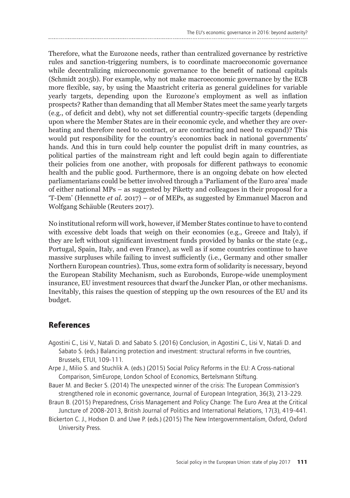Therefore, what the Eurozone needs, rather than centralized governance by restrictive rules and sanction-triggering numbers, is to coordinate macroeconomic governance while decentralizing microeconomic governance to the benefit of national capitals (Schmidt 2015b). For example, why not make macroeconomic governance by the ECB more flexible, say, by using the Maastricht criteria as general guidelines for variable yearly targets, depending upon the Eurozone's employment as well as inflation prospects? Rather than demanding that all Member States meet the same yearly targets (e.g., of deficit and debt), why not set differential country-specific targets (depending upon where the Member States are in their economic cycle, and whether they are overheating and therefore need to contract, or are contracting and need to expand)? This would put responsibility for the country's economics back in national governments' hands. And this in turn could help counter the populist drift in many countries, as political parties of the mainstream right and left could begin again to differentiate their policies from one another, with proposals for different pathways to economic health and the public good. Furthermore, there is an ongoing debate on how elected parliamentarians could be better involved through a 'Parliament of the Euro area' made of either national MPs – as suggested by Piketty and colleagues in their proposal for a 'T-Dem' (Hennette *et al.* 2017) – or of MEPs, as suggested by Emmanuel Macron and Wolfgang Schäuble (Reuters 2017).

No institutional reform will work, however, if Member States continue to have to contend with excessive debt loads that weigh on their economies (e.g., Greece and Italy), if they are left without significant investment funds provided by banks or the state (e.g., Portugal, Spain, Italy, and even France), as well as if some countries continue to have massive surpluses while failing to invest sufficiently (i.e., Germany and other smaller Northern European countries). Thus, some extra form of solidarity is necessary, beyond the European Stability Mechanism, such as Eurobonds, Europe-wide unemployment insurance, EU investment resources that dwarf the Juncker Plan, or other mechanisms. Inevitably, this raises the question of stepping up the own resources of the EU and its budget.

### **References**

- Agostini C., Lisi V., Natali D. and Sabato S. (2016) Conclusion, in Agostini C., Lisi V., Natali D. and Sabato S. (eds.) Balancing protection and investment: structural reforms in five countries, Brussels, ETUI, 109-111.
- Arpe J., Milio S. and Stuchlik A. (eds.) (2015) Social Policy Reforms in the EU: A Cross-national Comparison, SimEurope, London School of Economics, Bertelsmann Stiftung.
- Bauer M. and Becker S. (2014) The unexpected winner of the crisis: The European Commission's strengthened role in economic governance, Journal of European Integration, 36(3), 213-229.
- Braun B. (2015) Preparedness, Crisis Management and Policy Change: The Euro Area at the Critical Juncture of 2008-2013, British Journal of Politics and International Relations, 17(3), 419-441.
- Bickerton C. J., Hodson D. and Uwe P. (eds.) (2015) The New Intergovernmentalism, Oxford, Oxford University Press.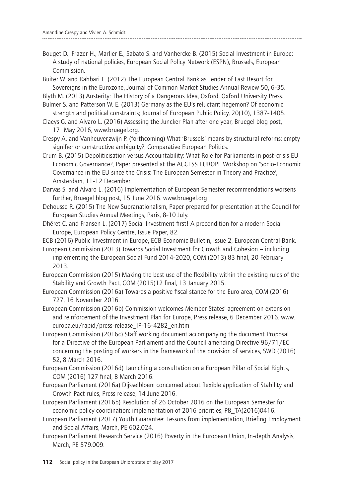Bouget D., Frazer H., Marlier E., Sabato S. and Vanhercke B. (2015) Social Investment in Europe: A study of national policies, European Social Policy Network (ESPN), Brussels, European Commission.

Buiter W. and Rahbari E. (2012) The European Central Bank as Lender of Last Resort for Sovereigns in the Eurozone, Journal of Common Market Studies Annual Review 50, 6-35.

Blyth M. (2013) Austerity: The History of a Dangerous Idea, Oxford, Oxford University Press.

Bulmer S. and Patterson W. E. (2013) Germany as the EU's reluctant hegemon? Of economic strength and political constraints; Journal of European Public Policy, 20(10), 1387-1405.

Claeys G. and Alvaro L. (2016) Assessing the Juncker Plan after one year, Bruegel blog post, 17 May 2016, www.bruegel.org.

Crespy A. and Vanheuverzwijn P. (forthcoming) What 'Brussels' means by structural reforms: empty signifier or constructive ambiguity?, Comparative European Politics.

Crum B. (2015) Depoliticisation versus Accountability: What Role for Parliaments in post-crisis EU Economic Governance?, Paper presented at the ACCESS EUROPE Workshop on 'Socio-Economic Governance in the EU since the Crisis: The European Semester in Theory and Practice', Amsterdam, 11-12 December.

Darvas S. and Alvaro L. (2016) Implementation of European Semester recommendations worsens further, Bruegel blog post, 15 June 2016. www.bruegel.org

Dehousse R. (2015) The New Supranationalism, Paper prepared for presentation at the Council for European Studies Annual Meetings, Paris, 8-10 July.

Dhéret C. and Fransen L. (2017) Social Investment first! A precondition for a modern Social Europe, European Policy Centre, Issue Paper, 82.

ECB (2016) Public Investment in Europe, ECB Economic Bulletin, Issue 2, European Central Bank.

European Commission (2013) Towards Social Investment for Growth and Cohesion – including implementing the European Social Fund 2014-2020, COM (2013) 83 final, 20 February 2013.

European Commission (2015) Making the best use of the flexibility within the existing rules of the Stability and Growth Pact, COM (2015)12 final, 13 January 2015.

European Commission (2016a) Towards a positive fiscal stance for the Euro area, COM (2016) 727, 16 November 2016.

European Commission (2016b) Commission welcomes Member States' agreement on extension and reinforcement of the Investment Plan for Europe, Press release, 6 December 2016. www. europa.eu/rapid/press-release\_IP-16-4282\_en.htm

European Commission (2016c) Staff working document accompanying the document Proposal for a Directive of the European Parliament and the Council amending Directive 96/71/EC concerning the posting of workers in the framework of the provision of services, SWD (2016) 52, 8 March 2016.

European Commission (2016d) Launching a consultation on a European Pillar of Social Rights, COM (2016) 127 final, 8 March 2016.

European Parliament (2016a) Dijsselbloem concerned about flexible application of Stability and Growth Pact rules, Press release, 14 June 2016.

European Parliament (2016b) Resolution of 26 October 2016 on the European Semester for economic policy coordination: implementation of 2016 priorities, P8\_TA(2016)0416.

European Parliament (2017) Youth Guarantee: Lessons from implementation, Briefing Employment and Social Affairs, March, PE 602.024.

European Parliament Research Service (2016) Poverty in the European Union, In-depth Analysis, March, PE 579.009.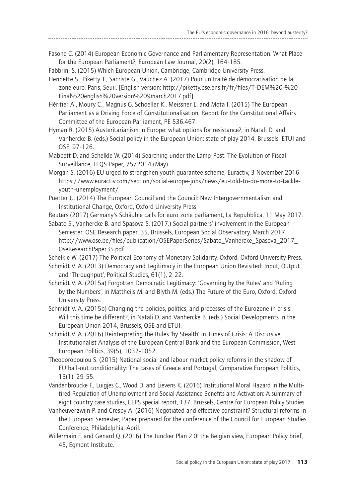Fasone C. (2014) European Economic Governance and Parliamentary Representation. What Place for the European Parliament?, European Law Journal, 20(2), 164-185.

Fabbrini S. (2015) Which European Union, Cambridge, Cambridge University Press.

- Hennette S., Piketty T., Sacriste G., Vauchez A. (2017) Pour un traité de démocratisation de la zone euro, Paris, Seuil. [English version: http://piketty.pse.ens.fr/fr/files/T-DEM%20-%20 Final%20english%20version%209march2017.pdf]
- Héritier A., Moury C., Magnus G. Schoeller K., Meissner L. and Mota I. (2015) The European Parliament as a Driving Force of Constitutionalisation, Report for the Constitutional Affairs Committee of the European Parliament, PE 536.467.
- Hyman R. (2015) Austeritarianism in Europe: what options for resistance?, in Natali D. and Vanhercke B. (eds.) Social policy in the European Union: state of play 2014, Brussels, ETUI and OSE, 97-126.
- Mabbett D. and Schelkle W. (2014) Searching under the Lamp-Post: The Evolution of Fiscal Surveillance, LEQS Paper, 75/2014 (May).
- Morgan S. (2016) EU urged to strengthen youth guarantee scheme, Euractiv, 3 November 2016. https://www.euractiv.com/section/social-europe-jobs/news/eu-told-to-do-more-to-tackleyouth-unemployment/
- Puetter U. (2014) The European Council and the Council: New Intergovernmentalism and Institutional Change, Oxford, Oxford University Press
- Reuters (2017) Germany's Schäuble calls for euro zone parliament, La Repubblica, 11 May 2017.
- Sabato S., Vanhercke B. and Spasova S. (2017.) Social partners' involvement in the European Semester, OSE Research paper, 35, Brussels, European Social Observatory, March 2017. http://www.ose.be/files/publication/OSEPaperSeries/Sabato\_Vanhercke\_Spasova\_2017\_ OseResearchPaper35.pdf

Schelkle W. (2017) The Political Economy of Monetary Solidarity, Oxford, Oxford University Press.

- Schmidt V. A. (2013) Democracy and Legitimacy in the European Union Revisited: Input, Output and 'Throughput', Political Studies, 61(1), 2-22.
- Schmidt V. A. (2015a) Forgotten Democratic Legitimacy: 'Governing by the Rules' and 'Ruling by the Numbers', in Mattheijs M. and Blyth M. (eds.) The Future of the Euro, Oxford, Oxford University Press.
- Schmidt V. A. (2015b) Changing the policies, politics, and processes of the Eurozone in crisis: Will this time be different?, in Natali D. and Vanhercke B. (eds.) Social Developments in the European Union 2014, Brussels, OSE and ETUI.
- Schmidt V. A. (2016) Reinterpreting the Rules 'by Stealth' in Times of Crisis: A Discursive Institutionalist Analysis of the European Central Bank and the European Commission, West European Politics, 39(5), 1032-1052.
- Theodoropoulou S. (2015) National social and labour market policy reforms in the shadow of EU bail-out conditionality: The cases of Greece and Portugal, Comparative European Politics, 13(1), 29-55.
- Vandenbroucke F., Luigjes C., Wood D. and Lievens K. (2016) Institutional Moral Hazard in the Multitired Regulation of Unemployment and Social Assistance Benefits and Activation: A summary of eight country case studies, CEPS special report, 137, Brussels, Centre for European Policy Studies.
- Vanheuverzwijn P. and Crespy A. (2016) Negotiated and effective constraint? Structural reforms in the European Semester, Paper prepared for the conference of the Council for European Studies Conference, Philadelphia, April.
- Willermain F. and Genard Q. (2016) The Juncker Plan 2.0: the Belgian view, European Policy brief, 45, Egmont Institute.